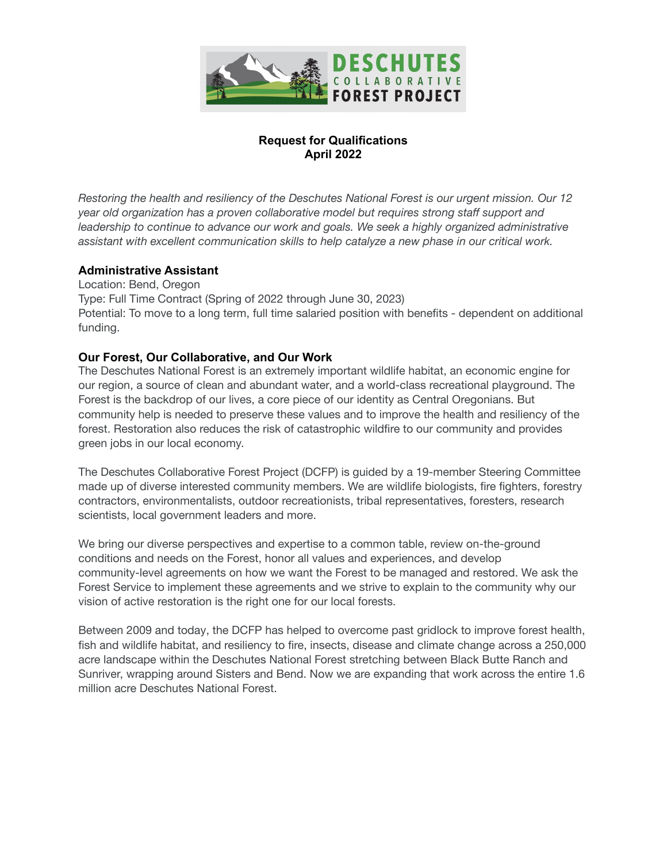

# **Request for Qualifications April 2022**

*Restoring the health and resiliency of the Deschutes National Forest is our urgent mission. Our 12 year old organization has a proven collaborative model but requires strong staff support and leadership to continue to advance our work and goals. We seek a highly organized administrative assistant with excellent communication skills to help catalyze a new phase in our critical work.*

# **Administrative Assistant**

Location: Bend, Oregon Type: Full Time Contract (Spring of 2022 through June 30, 2023) Potential: To move to a long term, full time salaried position with benefits - dependent on additional funding.

#### **Our Forest, Our Collaborative, and Our Work**

The Deschutes National Forest is an extremely important wildlife habitat, an economic engine for our region, a source of clean and abundant water, and a world-class recreational playground. The Forest is the backdrop of our lives, a core piece of our identity as Central Oregonians. But community help is needed to preserve these values and to improve the health and resiliency of the forest. Restoration also reduces the risk of catastrophic wildfire to our community and provides green jobs in our local economy.

The Deschutes Collaborative Forest Project (DCFP) is guided by a 19-member Steering Committee made up of diverse interested community members. We are wildlife biologists, fire fighters, forestry contractors, environmentalists, outdoor recreationists, tribal representatives, foresters, research scientists, local government leaders and more.

We bring our diverse perspectives and expertise to a common table, review on-the-ground conditions and needs on the Forest, honor all values and experiences, and develop community-level agreements on how we want the Forest to be managed and restored. We ask the Forest Service to implement these agreements and we strive to explain to the community why our vision of active restoration is the right one for our local forests.

Between 2009 and today, the DCFP has helped to overcome past gridlock to improve forest health, fish and wildlife habitat, and resiliency to fire, insects, disease and climate change across a 250,000 acre landscape within the Deschutes National Forest stretching between Black Butte Ranch and Sunriver, wrapping around Sisters and Bend. Now we are expanding that work across the entire 1.6 million acre Deschutes National Forest.